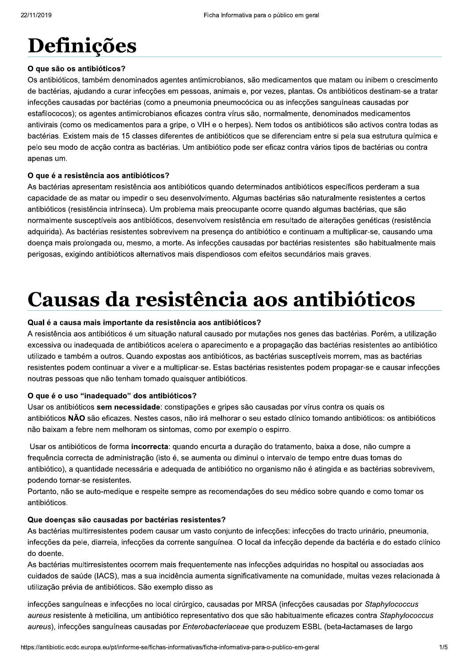### Definições

#### O que são os antibióticos?

Os antibióticos, também denominados agentes antimicrobianos, são medicamentos que matam ou inibem o crescimento de bactérias, ajudando a curar infecções em pessoas, animais e, por vezes, plantas. Os antibióticos destinam-se a tratar infecções causadas por bactérias (como a pneumonia pneumocócica ou as infecções sanguíneas causadas por estafilococos); os agentes antimicrobianos eficazes contra vírus são, normalmente, denominados medicamentos antivirais (como os medicamentos para a gripe, o VIH e o herpes). Nem todos os antibióticos são activos contra todas as bactérias. Existem mais de 15 classes diferentes de antibióticos que se diferenciam entre si pela sua estrutura química e pelo seu modo de acção contra as bactérias. Um antibiótico pode ser eficaz contra vários tipos de bactérias ou contra apenas um.

#### O que é a resistência aos antibióticos?

As bactérias apresentam resistência aos antibióticos quando determinados antibióticos específicos perderam a sua capacidade de as matar ou impedir o seu desenvolvimento. Algumas bactérias são naturalmente resistentes a certos antibióticos (resistência intrínseca). Um problema mais preocupante ocorre quando algumas bactérias, que são normalmente susceptíveis aos antibióticos, desenvolvem resistência em resultado de alterações genéticas (resistência adquirida). As bactérias resistentes sobrevivem na presença do antibiótico e continuam a multiplicar-se, causando uma doença mais prolongada ou, mesmo, a morte. As infecções causadas por bactérias resistentes são habitualmente mais perigosas, exigindo antibióticos alternativos mais dispendiosos com efeitos secundários mais graves.

# Causas da resistência aos antibióticos

#### Qual é a causa mais importante da resistência aos antibióticos?

A resistência aos antibióticos é um situação natural causado por mutações nos genes das bactérias. Porém, a utilização excessiva ou inadequada de antibióticos acelera o aparecimento e a propagação das bactérias resistentes ao antibiótico utilizado e também a outros. Quando expostas aos antibióticos, as bactérias susceptíveis morrem, mas as bactérias resistentes podem continuar a viver e a multiplicar-se. Estas bactérias resistentes podem propagar-se e causar infecções noutras pessoas que não tenham tomado quaisquer antibióticos.

#### O que é o uso "inadequado" dos antibióticos?

Usar os antibióticos sem necessidade: constipações e gripes são causadas por vírus contra os quais os antibióticos NÃO são eficazes. Nestes casos, não irá melhorar o seu estado clínico tomando antibióticos: os antibióticos não baixam a febre nem melhoram os sintomas, como por exemplo o espirro.

Usar os antibióticos de forma incorrecta: quando encurta a duração do tratamento, baixa a dose, não cumpre a frequência correcta de administração (isto é, se aumenta ou diminui o intervalo de tempo entre duas tomas do antibiótico), a quantidade necessária e adequada de antibiótico no organismo não é atingida e as bactérias sobrevivem, podendo tornar-se resistentes.

Portanto, não se auto-medique e respeite sempre as recomendações do seu médico sobre quando e como tomar os antibióticos.

#### Que doenças são causadas por bactérias resistentes?

As bactérias multirresistentes podem causar um vasto conjunto de infecções: infecções do tracto urinário, pneumonia, infecções da pele, diarreia, infecções da corrente sanguínea. O local da infecção depende da bactéria e do estado clínico do doente.

As bactérias multirresistentes ocorrem mais frequentemente nas infecções adquiridas no hospital ou associadas aos cuidados de saúde (IACS), mas a sua incidência aumenta significativamente na comunidade, muitas vezes relacionada à utilização prévia de antibióticos. São exemplo disso as

infecções sanguíneas e infecções no local cirúrgico, causadas por MRSA (infecções causadas por Staphylococcus aureus resistente à meticilina, um antibiótico representativo dos que são habitualmente eficazes contra Staphylococcus aureus), infecções sanguíneas causadas por Enterobacteriaceae que produzem ESBL (beta-lactamases de largo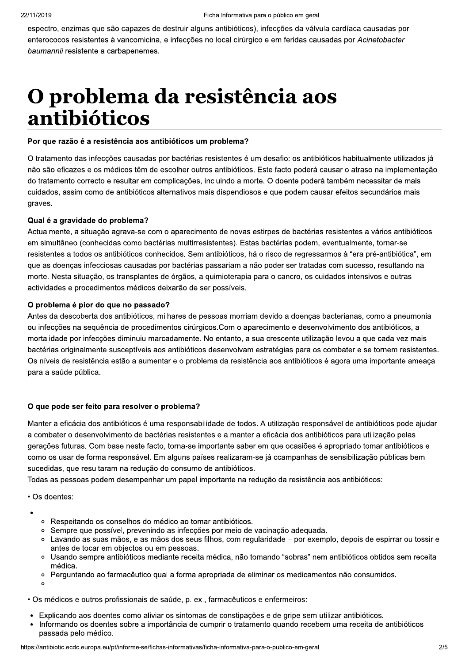espectro, enzimas que são capazes de destruir alguns antibióticos), infecções da válvula cardíaca causadas por enterococos resistentes à vancomicina, e infeccões no local cirúrgico e em feridas causadas por Acinetobacter baumannii resistente a carbapenemes.

### O problema da resistência aos antibióticos

#### Por que razão é a resistência aos antibióticos um problema?

O tratamento das infecções causadas por bactérias resistentes é um desafio: os antibióticos habitualmente utilizados já não são eficazes e os médicos têm de escolher outros antibióticos. Este facto poderá causar o atraso na implementação do tratamento correcto e resultar em complicações, incluindo a morte. O doente poderá também necessitar de mais cuidados, assim como de antibióticos alternativos mais dispendiosos e que podem causar efeitos secundários mais graves.

#### Qual é a gravidade do problema?

Actualmente, a situação agrava-se com o aparecimento de novas estirpes de bactérias resistentes a vários antibióticos em simultâneo (conhecidas como bactérias multirresistentes). Estas bactérias podem, eventualmente, tornar-se resistentes a todos os antibióticos conhecidos. Sem antibióticos, há o risco de regressarmos à "era pré-antibiótica", em que as doenças infecciosas causadas por bactérias passariam a não poder ser tratadas com sucesso, resultando na morte. Nesta situação, os transplantes de órgãos, a quimioterapia para o cancro, os cuidados intensivos e outras actividades e procedimentos médicos deixarão de ser possíveis.

#### O problema é pior do que no passado?

Antes da descoberta dos antibióticos, milhares de pessoas morriam devido a doenças bacterianas, como a pneumonia ou infecções na sequência de procedimentos cirúrgicos. Com o aparecimento e desenvolvimento dos antibióticos, a mortalidade por infecções diminuiu marcadamente. No entanto, a sua crescente utilização levou a que cada vez mais bactérias originalmente susceptíveis aos antibióticos desenvolvam estratégias para os combater e se tornem resistentes. Os níveis de resistência estão a aumentar e o problema da resistência aos antibióticos é agora uma importante ameaça para a saúde pública.

#### O que pode ser feito para resolver o problema?

Manter a eficácia dos antibióticos é uma responsabilidade de todos. A utilização responsável de antibióticos pode ajudar a combater o desenvolvimento de bactérias resistentes e a manter a eficácia dos antibióticos para utilização pelas gerações futuras. Com base neste facto, torna-se importante saber em que ocasiões é apropriado tomar antibióticos e como os usar de forma responsável. Em alguns países realizaram-se já ccampanhas de sensibilização públicas bem sucedidas, que resultaram na redução do consumo de antibióticos.

Todas as pessoas podem desempenhar um papel importante na redução da resistência aos antibióticos:

• Os doentes:

- Respeitando os conselhos do médico ao tomar antibióticos.  $\circ$
- · Sempre que possível, prevenindo as infecções por meio de vacinação adequada.
- Lavando as suas mãos, e as mãos dos seus filhos, com regularidade por exemplo, depois de espirrar ou tossir e antes de tocar em objectos ou em pessoas.
- Usando sempre antibióticos mediante receita médica, não tomando "sobras" nem antibióticos obtidos sem receita médica
- Perguntando ao farmacêutico qual a forma apropriada de eliminar os medicamentos não consumidos.  $\circ$

 $\circ$ 

- · Os médicos e outros profissionais de saúde, p. ex., farmacêuticos e enfermeiros:
- Explicando aos doentes como aliviar os sintomas de constipações e de gripe sem utilizar antibióticos.
- Informando os doentes sobre a importância de cumprir o tratamento quando recebem uma receita de antibióticos passada pelo médico.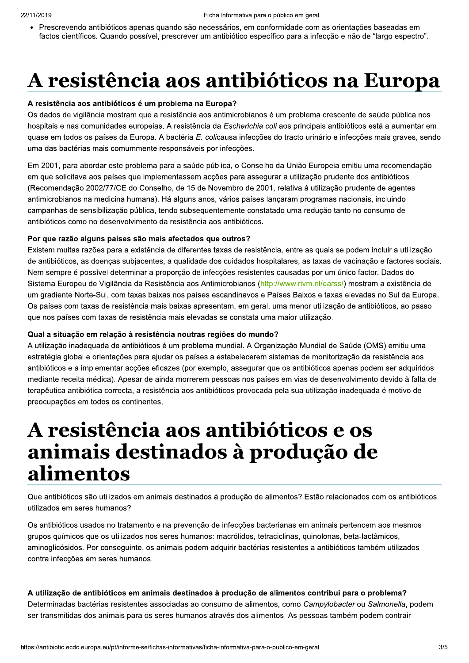• Prescrevendo antibióticos apenas quando são necessários, em conformidade com as orientações baseadas em factos científicos. Quando possível, prescrever um antibiótico específico para a infecção e não de "largo espectro".

# A resistência aos antibióticos na Europa

#### A resistência aos antibióticos é um problema na Europa?

Os dados de vigilância mostram que a resistência aos antimicrobianos é um problema crescente de saúde pública nos hospitais e nas comunidades europeias. A resistência da Escherichia coli aos principais antibióticos está a aumentar em quase em todos os países da Europa. A bactéria E. colicausa infecções do tracto urinário e infecções mais graves, sendo uma das bactérias mais comummente responsáveis por infecções.

Em 2001, para abordar este problema para a saúde pública, o Conselho da União Europeia emitiu uma recomendação em que solicitava aos países que implementassem acções para assegurar a utilização prudente dos antibióticos (Recomendação 2002/77/CE do Conselho, de 15 de Novembro de 2001, relativa à utilização prudente de agentes antimicrobianos na medicina humana). Há alguns anos, vários países lancaram programas nacionais, incluindo campanhas de sensibilização pública, tendo subsequentemente constatado uma redução tanto no consumo de antibióticos como no desenvolvimento da resistência aos antibióticos.

#### Por que razão alguns países são mais afectados que outros?

Existem muitas razões para a existência de diferentes taxas de resistência, entre as quais se podem incluir a utilização de antibióticos, as doenças subjacentes, a qualidade dos cuidados hospitalares, as taxas de vacinação e factores sociais. Nem sempre é possível determinar a proporção de infecções resistentes causadas por um único factor. Dados do Sistema Europeu de Vigilância da Resistência aos Antimicrobianos (http://www.rivm.nl/earss/) mostram a existência de um gradiente Norte-Sul, com taxas baixas nos países escandinavos e Países Baixos e taxas elevadas no Sul da Europa. Os países com taxas de resistência mais baixas apresentam, em geral, uma menor utilização de antibióticos, ao passo que nos países com taxas de resistência mais elevadas se constata uma maior utilização.

#### Qual a situação em relação à resistência noutras regiões do mundo?

A utilização inadequada de antibióticos é um problema mundial. A Organização Mundial de Saúde (OMS) emitiu uma estratégia global e orientações para ajudar os países a estabelecerem sistemas de monitorização da resistência aos antibióticos e a implementar acções eficazes (por exemplo, assegurar que os antibióticos apenas podem ser adquiridos mediante receita médica). Apesar de ainda morrerem pessoas nos países em vias de desenvolvimento devido à falta de terapêutica antibiótica correcta, a resistência aos antibióticos provocada pela sua utilização inadequada é motivo de preocupações em todos os continentes.

### A resistência aos antibióticos e os animais destinados à produção de alimentos

Que antibióticos são utilizados em animais destinados à produção de alimentos? Estão relacionados com os antibióticos utilizados em seres humanos?

Os antibióticos usados no tratamento e na prevenção de infecções bacterianas em animais pertencem aos mesmos grupos químicos que os utilizados nos seres humanos: macrólidos, tetraciclinas, quinolonas, beta-lactâmicos, aminoglicósidos. Por conseguinte, os animais podem adquirir bactérias resistentes a antibióticos também utilizados contra infecções em seres humanos.

#### A utilização de antibióticos em animais destinados à produção de alimentos contribui para o problema?

Determinadas bactérias resistentes associadas ao consumo de alimentos, como Campylobacter ou Salmonella, podem ser transmitidas dos animais para os seres humanos através dos alimentos. As pessoas também podem contrair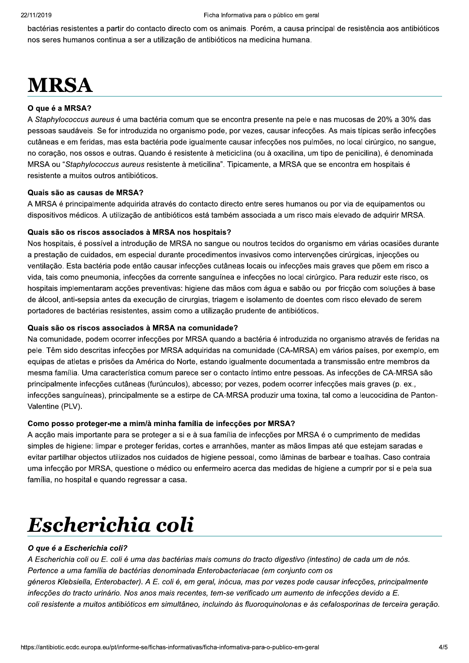bactérias resistentes a partir do contacto directo com os animais. Porém, a causa principal de resistência aos antibióticos nos seres humanos continua a ser a utilização de antibióticos na medicina humana.

## **MRSA**

#### O que é a MRSA?

A Staphylococcus aureus é uma bactéria comum que se encontra presente na pele e nas mucosas de 20% a 30% das pessoas saudáveis. Se for introduzida no organismo pode, por vezes, causar infecções. As mais típicas serão infecções cutâneas e em feridas, mas esta bactéria pode igualmente causar infecções nos pulmões, no local cirúrgico, no sangue, no coração, nos ossos e outras. Quando é resistente à meticiclina (ou à oxacilina, um tipo de penicilina), é denominada MRSA ou "Staphylococcus aureus resistente à meticilina". Tipicamente, a MRSA que se encontra em hospitais é resistente a muitos outros antibióticos.

#### Quais são as causas de MRSA?

A MRSA é principalmente adquirida através do contacto directo entre seres humanos ou por via de equipamentos ou dispositivos médicos. A utilização de antibióticos está também associada a um risco mais elevado de adquirir MRSA.

#### Quais são os riscos associados à MRSA nos hospitais?

Nos hospitais, é possível a introdução de MRSA no sangue ou noutros tecidos do organismo em várias ocasiões durante a prestação de cuidados, em especial durante procedimentos invasivos como intervenções cirúrgicas, injecções ou ventilação. Esta bactéria pode então causar infecções cutâneas locais ou infecções mais graves que põem em risco a vida, tais como pneumonia, infecções da corrente sanguínea e infecções no local cirúrgico. Para reduzir este risco, os hospitais implementaram acções preventivas: higiene das mãos com água e sabão ou por fricção com soluções à base de álcool, anti-sepsia antes da execução de cirurgias, triagem e isolamento de doentes com risco elevado de serem portadores de bactérias resistentes, assim como a utilização prudente de antibióticos.

#### Quais são os riscos associados à MRSA na comunidade?

Na comunidade, podem ocorrer infecções por MRSA quando a bactéria é introduzida no organismo através de feridas na pele. Têm sido descritas infecções por MRSA adquiridas na comunidade (CA-MRSA) em vários países, por exemplo, em equipas de atletas e prisões da América do Norte, estando igualmente documentada a transmissão entre membros da mesma família. Uma característica comum parece ser o contacto íntimo entre pessoas. As infecções de CA-MRSA são principalmente infecções cutâneas (furúnculos), abcesso; por vezes, podem ocorrer infecções mais graves (p. ex., infecções sanguíneas), principalmente se a estirpe de CA-MRSA produzir uma toxina, tal como a leucocidina de Panton-Valentine (PLV).

#### Como posso proteger-me a mim/à minha família de infecções por MRSA?

A acção mais importante para se proteger a si e à sua família de infecções por MRSA é o cumprimento de medidas simples de higiene: limpar e proteger feridas, cortes e arranhões, manter as mãos limpas até que estejam saradas e evitar partilhar objectos utilizados nos cuidados de higiene pessoal, como lâminas de barbear e toalhas. Caso contraia uma infecção por MRSA, questione o médico ou enfermeiro acerca das medidas de higiene a cumprir por si e pela sua família, no hospital e quando regressar a casa.

# Escherichia coli

#### O que é a Escherichia coli?

A Escherichia coli ou E. coli é uma das bactérias mais comuns do tracto digestivo (intestino) de cada um de nós. Pertence a uma família de bactérias denominada Enterobacteriacae (em conjunto com os géneros Klebsiella, Enterobacter). A E. coli é, em geral, inócua, mas por vezes pode causar infecções, principalmente infecções do tracto urinário. Nos anos mais recentes, tem-se verificado um aumento de infecções devido a E. coli resistente a muitos antibióticos em simultâneo, incluindo às fluoroquinolonas e às cefalosporinas de terceira geração.